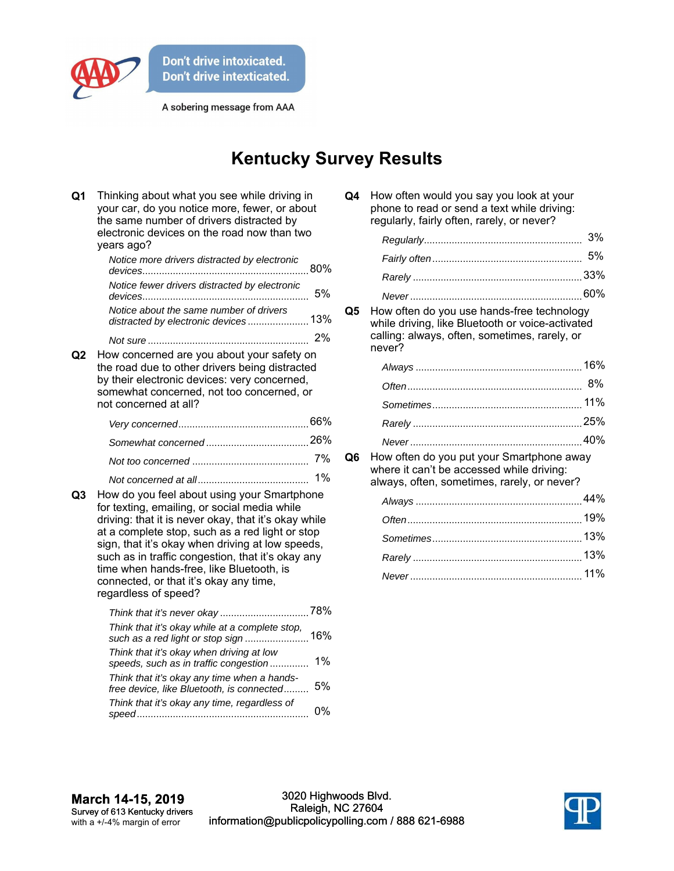

A sobering message from AAA

## **Kentucky Survey Results**

| Q <sub>1</sub> | Thinking about what you see while driving in<br>your car, do you notice more, fewer, or about<br>the same number of drivers distracted by<br>electronic devices on the road now than two<br>years ago?                                                                                                                                                                                                                                 |    |
|----------------|----------------------------------------------------------------------------------------------------------------------------------------------------------------------------------------------------------------------------------------------------------------------------------------------------------------------------------------------------------------------------------------------------------------------------------------|----|
|                | Notice more drivers distracted by electronic                                                                                                                                                                                                                                                                                                                                                                                           |    |
|                | Notice fewer drivers distracted by electronic                                                                                                                                                                                                                                                                                                                                                                                          | 5% |
|                | Notice about the same number of drivers<br>distracted by electronic devices 13%                                                                                                                                                                                                                                                                                                                                                        |    |
|                |                                                                                                                                                                                                                                                                                                                                                                                                                                        |    |
| Q2             | How concerned are you about your safety on<br>the road due to other drivers being distracted<br>by their electronic devices: very concerned,<br>somewhat concerned, not too concerned, or<br>not concerned at all?                                                                                                                                                                                                                     |    |
|                |                                                                                                                                                                                                                                                                                                                                                                                                                                        |    |
|                |                                                                                                                                                                                                                                                                                                                                                                                                                                        |    |
|                |                                                                                                                                                                                                                                                                                                                                                                                                                                        | 7% |
| Q3             | $1\%$<br>How do you feel about using your Smartphone<br>for texting, emailing, or social media while<br>driving: that it is never okay, that it's okay while<br>at a complete stop, such as a red light or stop<br>sign, that it's okay when driving at low speeds,<br>such as in traffic congestion, that it's okay any<br>time when hands-free, like Bluetooth, is<br>connected, or that it's okay any time,<br>regardless of speed? |    |
|                | Think that it's okay while at a complete stop,<br>such as a red light or stop sign  16%                                                                                                                                                                                                                                                                                                                                                |    |
|                | Think that it's okay when driving at low<br>speeds, such as in traffic congestion                                                                                                                                                                                                                                                                                                                                                      | 1% |
|                | Think that it's okay any time when a hands-<br>free device, like Bluetooth, is connected                                                                                                                                                                                                                                                                                                                                               | 5% |
|                | Think that it's okay any time, regardless of                                                                                                                                                                                                                                                                                                                                                                                           | 0% |

| Q4 | How often would you say you look at your    |
|----|---------------------------------------------|
|    | phone to read or send a text while driving: |
|    | regularly, fairly often, rarely, or never?  |

**Q5** How often do you use hands-free technology while driving, like Bluetooth or voice-activated calling: always, often, sometimes, rarely, or never?

**Q6** How often do you put your Smartphone away where it can't be accessed while driving: always, often, sometimes, rarely, or never?